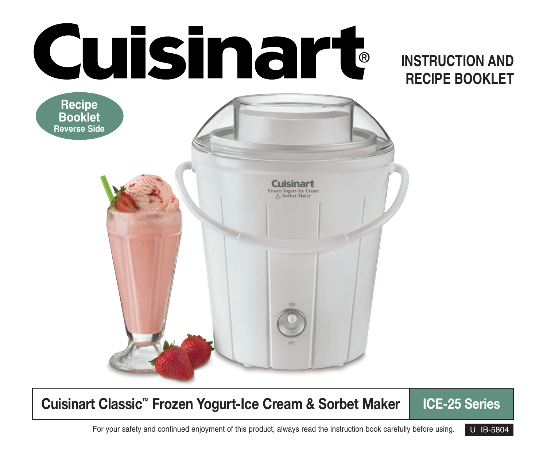

### **Cuisinart Classic™ Frozen Yogurt-Ice Cream & Sorbet Maker | ICE-25 Series**

For your safety and continued enjoyment of this product, always read the instruction book carefully before using. U IB-5804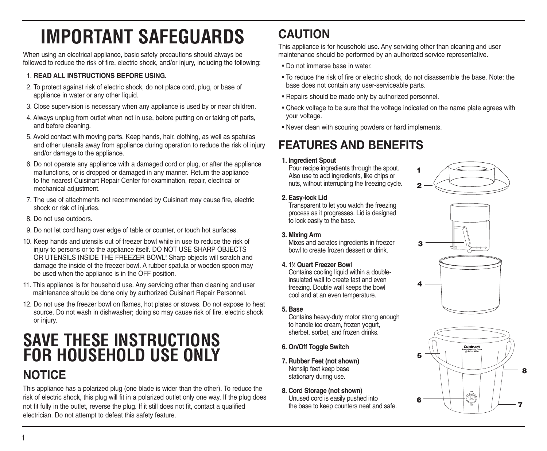## **IMPORTANT SAFEGUARDS**

When using an electrical appliance, basic safety precautions should always be followed to reduce the risk of fire, electric shock, and/or injury, including the following:

#### 1. **READ ALL INSTRUCTIONS BEFORE USING.**

- 2. To protect against risk of electric shock, do not place cord, plug, or base of appliance in water or any other liquid.
- 3. Close supervision is necessary when any appliance is used by or near children.
- 4. Always unplug from outlet when not in use, before putting on or taking off parts, and before cleaning.
- 5. Avoid contact with moving parts. Keep hands, hair, clothing, as well as spatulas and other utensils away from appliance during operation to reduce the risk of injury and/or damage to the appliance.
- 6. Do not operate any appliance with a damaged cord or plug, or after the appliance malfunctions, or is dropped or damaged in any manner. Return the appliance to the nearest Cuisinart Repair Center for examination, repair, electrical or mechanical adjustment.
- 7. The use of attachments not recommended by Cuisinart may cause fire, electric shock or risk of injuries.
- 8. Do not use outdoors.
- 9. Do not let cord hang over edge of table or counter, or touch hot surfaces.
- 10. Keep hands and utensils out of freezer bowl while in use to reduce the risk of injury to persons or to the appliance itself. DO NOT USE SHARP OBJECTS OR UTENSILS INSIDE THE FREEZER BOWL! Sharp objects will scratch and damage the inside of the freezer bowl. A rubber spatula or wooden spoon may be used when the appliance is in the OFF position.
- 11. This appliance is for household use. Any servicing other than cleaning and user maintenance should be done only by authorized Cuisinart Repair Personnel.
- 12. Do not use the freezer bowl on flames, hot plates or stoves. Do not expose to heat source. Do not wash in dishwasher; doing so may cause risk of fire, electric shock or injury.

## **SAVE THESE INSTRUCTIONS FOR HOUSEHOLD USE ONLY NOTICE**

This appliance has a polarized plug (one blade is wider than the other). To reduce the risk of electric shock, this plug will fit in a polarized outlet only one way. If the plug does not fit fully in the outlet, reverse the plug. If it still does not fit, contact a qualified electrician. Do not attempt to defeat this safety feature.

### **CAUTION**

This appliance is for household use. Any servicing other than cleaning and user maintenance should be performed by an authorized service representative.

- Do not immerse base in water.
- To reduce the risk of fire or electric shock, do not disassemble the base. Note: the base does not contain any user-serviceable parts.
- Repairs should be made only by authorized personnel.
- Check voltage to be sure that the voltage indicated on the name plate agrees with your voltage.
- Never clean with scouring powders or hard implements.

### **FEATURES AND BENEFITS**

#### **1. Ingredient Spout**

Pour recipe ingredients through the spout. Also use to add ingredients, like chips or nuts, without interrupting the freezing cycle.



#### **2. Easy-lock Lid**

Transparent to let you watch the freezing process as it progresses. Lid is designed to lock easily to the base.

#### **3. Mixing Arm**

Mixes and aerates ingredients in freezer bowl to create frozen dessert or drink.

#### **4. 11 ⁄2 Quart Freezer Bowl**

Contains cooling liquid within a doubleinsulated wall to create fast and even freezing. Double wall keeps the bowl cool and at an even temperature.

#### **5. Base**

Contains heavy-duty motor strong enough to handle ice cream, frozen yogurt, sherbet, sorbet, and frozen drinks.

- **6. On/Off Toggle Switch**
- **7. Rubber Feet (not shown)** Nonslip feet keep base stationary during use.
- **8. Cord Storage (not shown)** Unused cord is easily pushed into the base to keep counters neat and safe.



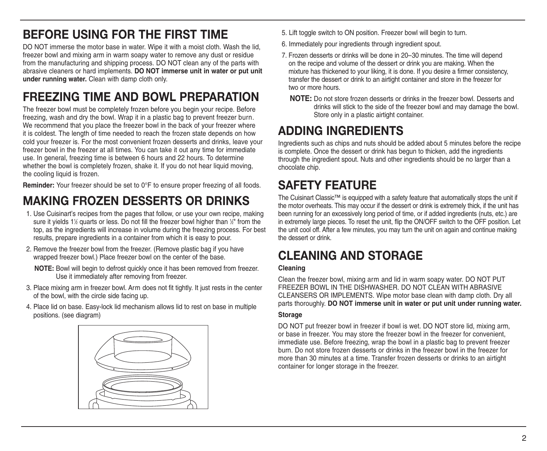### **BEFORE USING FOR THE FIRST TIME**

DO NOT immerse the motor base in water. Wipe it with a moist cloth. Wash the lid. freezer bowl and mixing arm in warm soapy water to remove any dust or residue from the manufacturing and shipping process. DO NOT clean any of the parts with abrasive cleaners or hard implements. **DO NOT immerse unit in water or put unit under running water.** Clean with damp cloth only.

### **FREEZING TIME AND BOWL PREPARATION**

The freezer bowl must be completely frozen before you begin your recipe. Before freezing, wash and dry the bowl. Wrap it in a plastic bag to prevent freezer burn. We recommend that you place the freezer bowl in the back of your freezer where it is coldest. The length of time needed to reach the frozen state depends on how cold your freezer is. For the most convenient frozen desserts and drinks, leave your freezer bowl in the freezer at all times. You can take it out any time for immediate use. In general, freezing time is between 6 hours and 22 hours. To determine whether the bowl is completely frozen, shake it. If you do not hear liquid moving, the cooling liquid is frozen.

**Reminder:** Your freezer should be set to 0°F to ensure proper freezing of all foods.

### **MAKING FROZEN DESSERTS OR DRINKS**

- 1. Use Cuisinart's recipes from the pages that follow, or use your own recipe, making sure it yields 1½ quarts or less. Do not fill the freezer bowl higher than ½" from the top, as the ingredients will increase in volume during the freezing process. For best results, prepare ingredients in a container from which it is easy to pour.
- 2. Remove the freezer bowl from the freezer. (Remove plastic bag if you have wrapped freezer bowl.) Place freezer bowl on the center of the base.

**NOTE:** Bowl will begin to defrost quickly once it has been removed from freezer. Use it immediately after removing from freezer.

- 3. Place mixing arm in freezer bowl. Arm does not fit tightly. It just rests in the center of the bowl, with the circle side facing up.
- 4. Place lid on base. Easy-lock lid mechanism allows lid to rest on base in multiple positions. (see diagram)



- 5. Lift toggle switch to ON position. Freezer bowl will begin to turn.
- 6. Immediately pour ingredients through ingredient spout.
- 7. Frozen desserts or drinks will be done in 20–30 minutes. The time will depend on the recipe and volume of the dessert or drink you are making. When the mixture has thickened to your liking, it is done. If you desire a firmer consistency, transfer the dessert or drink to an airtight container and store in the freezer for two or more hours.
	- **NOTE:** Do not store frozen desserts or drinks in the freezer bowl. Desserts and drinks will stick to the side of the freezer bowl and may damage the bowl. Store only in a plastic airtight container.

### **ADDING INGREDIENTS**

Ingredients such as chips and nuts should be added about 5 minutes before the recipe is complete. Once the dessert or drink has begun to thicken, add the ingredients through the ingredient spout. Nuts and other ingredients should be no larger than a chocolate chip.

### **SAFETY FEATURE**

The Cuisinart Classic™ is equipped with a safety feature that automatically stops the unit if the motor overheats. This may occur if the dessert or drink is extremely thick, if the unit has been running for an excessively long period of time, or if added ingredients (nuts, etc.) are in extremely large pieces. To reset the unit, flip the ON/OFF switch to the OFF position. Let the unit cool off. After a few minutes, you may turn the unit on again and continue making the dessert or drink.

### **CLEANING AND STORAGE**

#### **Cleaning**

Clean the freezer bowl, mixing arm and lid in warm soapy water. DO NOT PUT FREEZER BOWL IN THE DISHWASHER. DO NOT CLEAN WITH ABRASIVE CLEANSERS OR IMPLEMENTS. Wipe motor base clean with damp cloth. Dry all parts thoroughly. **DO NOT immerse unit in water or put unit under running water.**

#### **Storage**

DO NOT put freezer bowl in freezer if bowl is wet. DO NOT store lid, mixing arm, or base in freezer. You may store the freezer bowl in the freezer for convenient, immediate use. Before freezing, wrap the bowl in a plastic bag to prevent freezer burn. Do not store frozen desserts or drinks in the freezer bowl in the freezer for more than 30 minutes at a time. Transfer frozen desserts or drinks to an airtight container for longer storage in the freezer.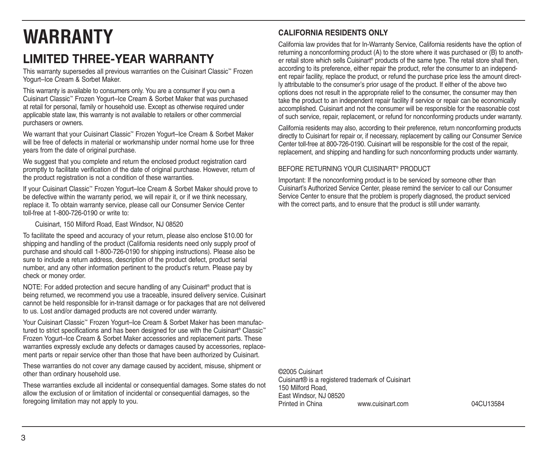# **WARRANTY**

### **LIMITED THREE-YEAR WARRANTY**

This warranty supersedes all previous warranties on the Cuisinart Classic™ Frozen Yogurt–Ice Cream & Sorbet Maker.

This warranty is available to consumers only. You are a consumer if you own a Cuisinart Classic™ Frozen Yogurt–Ice Cream & Sorbet Maker that was purchased at retail for personal, family or household use. Except as otherwise required under applicable state law, this warranty is not available to retailers or other commercial purchasers or owners.

We warrant that your Cuisinart Classic™ Frozen Yogurt–Ice Cream & Sorbet Maker will be free of defects in material or workmanship under normal home use for three years from the date of original purchase.

We suggest that you complete and return the enclosed product registration card promptly to facilitate verification of the date of original purchase. However, return of the product registration is not a condition of these warranties.

If your Cuisinart Classic™ Frozen Yogurt–Ice Cream & Sorbet Maker should prove to be defective within the warranty period, we will repair it, or if we think necessary, replace it. To obtain warranty service, please call our Consumer Service Center toll-free at 1-800-726-0190 or write to:

Cuisinart, 150 Milford Road, East Windsor, NJ 08520

To facilitate the speed and accuracy of your return, please also enclose \$10.00 for shipping and handling of the product (California residents need only supply proof of purchase and should call 1-800-726-0190 for shipping instructions). Please also be sure to include a return address, description of the product defect, product serial number, and any other information pertinent to the product's return. Please pay by check or money order.

NOTE: For added protection and secure handling of any Cuisinart® product that is being returned, we recommend you use a traceable, insured delivery service. Cuisinart cannot be held responsible for in-transit damage or for packages that are not delivered to us. Lost and/or damaged products are not covered under warranty.

Your Cuisinart Classic™ Frozen Yogurt–Ice Cream & Sorbet Maker has been manufactured to strict specifications and has been designed for use with the Cuisinart® Classic™ Frozen Yogurt–Ice Cream & Sorbet Maker accessories and replacement parts. These warranties expressly exclude any defects or damages caused by accessories, replacement parts or repair service other than those that have been authorized by Cuisinart.

These warranties do not cover any damage caused by accident, misuse, shipment or other than ordinary household use.

These warranties exclude all incidental or consequential damages. Some states do not allow the exclusion of or limitation of incidental or consequential damages, so the foregoing limitation may not apply to you.

### **CALIFORNIA RESIDENTS ONLY**

California law provides that for In-Warranty Service, California residents have the option of returning a nonconforming product (A) to the store where it was purchased or (B) to another retail store which sells Cuisinart® products of the same type. The retail store shall then, according to its preference, either repair the product, refer the consumer to an independent repair facility, replace the product, or refund the purchase price less the amount directly attributable to the consumer's prior usage of the product. If either of the above two options does not result in the appropriate relief to the consumer, the consumer may then take the product to an independent repair facility if service or repair can be economically accomplished. Cuisinart and not the consumer will be responsible for the reasonable cost of such service, repair, replacement, or refund for nonconforming products under warranty.

California residents may also, according to their preference, return nonconforming products directly to Cuisinart for repair or, if necessary, replacement by calling our Consumer Service Center toll-free at 800-726-0190. Cuisinart will be responsible for the cost of the repair, replacement, and shipping and handling for such nonconforming products under warranty.

#### BEFORE RETURNING YOUR CUISINART® PRODUCT

Important: If the nonconforming product is to be serviced by someone other than Cuisinart's Authorized Service Center, please remind the servicer to call our Consumer Service Center to ensure that the problem is properly diagnosed, the product serviced with the correct parts, and to ensure that the product is still under warranty.

©2005 Cuisinart Cuisinart® is a registered trademark of Cuisinart 150 Milford Road, East Windsor, NJ 08520 www.cuisinart.com 04CU13584